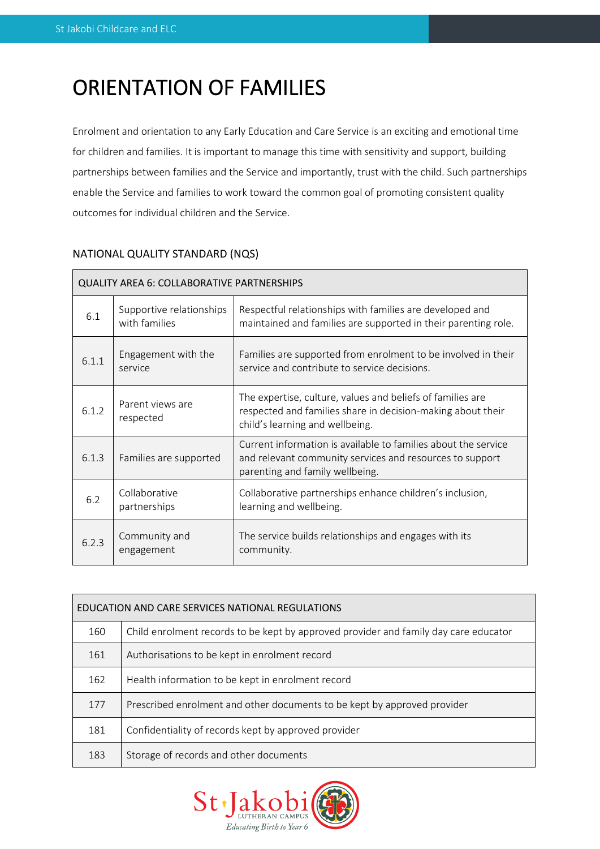# ORIENTATION OF FAMILIES

Enrolment and orientation to any Early Education and Care Service is an exciting and emotional time for children and families. It is important to manage this time with sensitivity and support, building partnerships between families and the Service and importantly, trust with the child. Such partnerships enable the Service and families to work toward the common goal of promoting consistent quality outcomes for individual children and the Service.

| <b>QUALITY AREA 6: COLLABORATIVE PARTNERSHIPS</b> |                                           |                                                                                                                                                               |  |  |  |
|---------------------------------------------------|-------------------------------------------|---------------------------------------------------------------------------------------------------------------------------------------------------------------|--|--|--|
| 6.1                                               | Supportive relationships<br>with families | Respectful relationships with families are developed and<br>maintained and families are supported in their parenting role.                                    |  |  |  |
| 6.1.1                                             | Engagement with the<br>service            | Families are supported from enrolment to be involved in their<br>service and contribute to service decisions.                                                 |  |  |  |
| 6.1.2                                             | Parent views are<br>respected             | The expertise, culture, values and beliefs of families are<br>respected and families share in decision-making about their<br>child's learning and wellbeing.  |  |  |  |
| 6.1.3                                             | Families are supported                    | Current information is available to families about the service<br>and relevant community services and resources to support<br>parenting and family wellbeing. |  |  |  |
| 6.2                                               | Collaborative<br>partnerships             | Collaborative partnerships enhance children's inclusion,<br>learning and wellbeing.                                                                           |  |  |  |
| 6.2.3                                             | Community and<br>engagement               | The service builds relationships and engages with its<br>community.                                                                                           |  |  |  |

# NATIONAL QUALITY STANDARD (NQS)

| EDUCATION AND CARE SERVICES NATIONAL REGULATIONS |                                                                                      |  |  |  |
|--------------------------------------------------|--------------------------------------------------------------------------------------|--|--|--|
| 160                                              | Child enrolment records to be kept by approved provider and family day care educator |  |  |  |
| 161                                              | Authorisations to be kept in enrolment record                                        |  |  |  |
| 162                                              | Health information to be kept in enrolment record                                    |  |  |  |
| 177                                              | Prescribed enrolment and other documents to be kept by approved provider             |  |  |  |
| 181                                              | Confidentiality of records kept by approved provider                                 |  |  |  |
| 183                                              | Storage of records and other documents                                               |  |  |  |

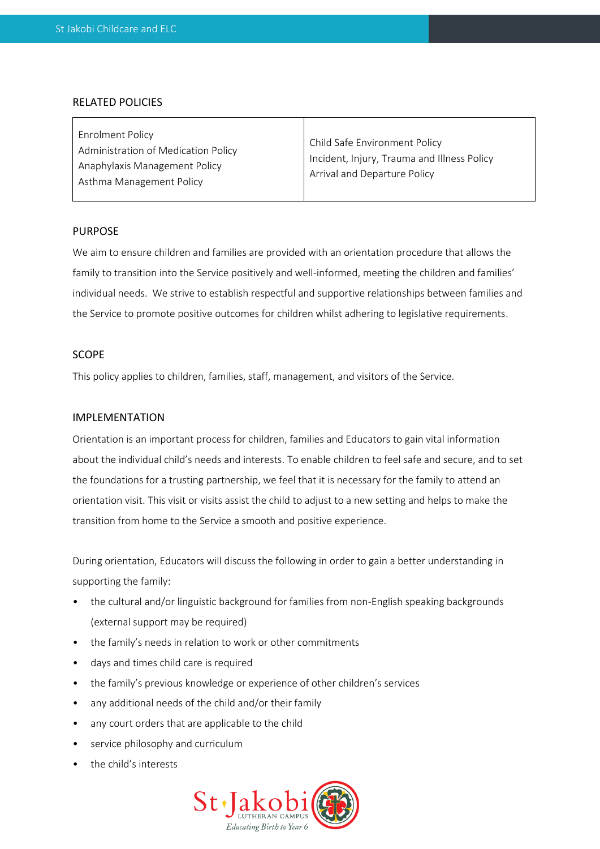#### RELATED POLICIES

# PURPOSE

We aim to ensure children and families are provided with an orientation procedure that allows the family to transition into the Service positively and well-informed, meeting the children and families' individual needs. We strive to establish respectful and supportive relationships between families and the Service to promote positive outcomes for children whilst adhering to legislative requirements.

## SCOPE

This policy applies to children, families, staff, management, and visitors of the Service.

### IMPLEMENTATION

Orientation is an important process for children, families and Educators to gain vital information about the individual child's needs and interests. To enable children to feel safe and secure, and to set the foundations for a trusting partnership, we feel that it is necessary for the family to attend an orientation visit. This visit or visits assist the child to adjust to a new setting and helps to make the transition from home to the Service a smooth and positive experience.

During orientation, Educators will discuss the following in order to gain a better understanding in supporting the family:

- the cultural and/or linguistic background for families from non-English speaking backgrounds (external support may be required)
- the family's needs in relation to work or other commitments
- days and times child care is required
- the family's previous knowledge or experience of other children's services
- any additional needs of the child and/or their family
- any court orders that are applicable to the child
- service philosophy and curriculum
- the child's interests

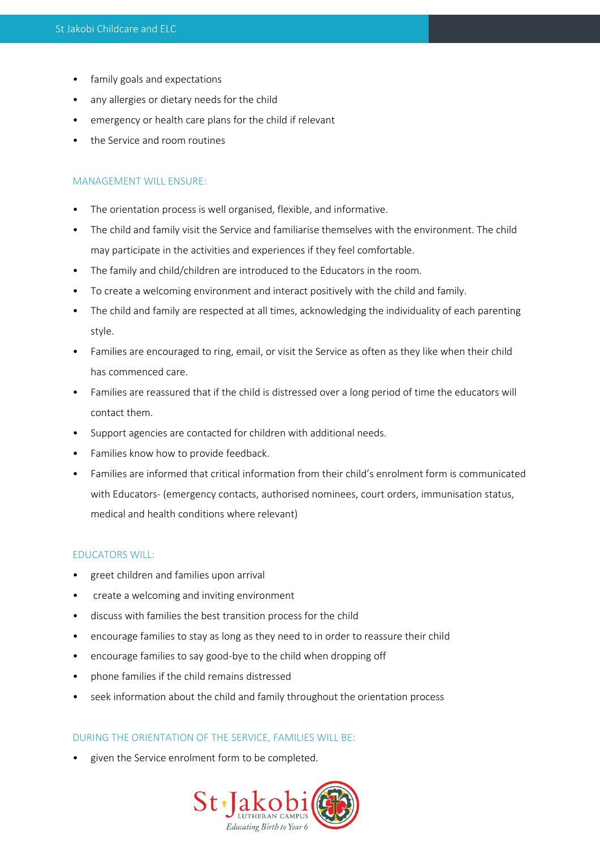- family goals and expectations
- any allergies or dietary needs for the child
- emergency or health care plans for the child if relevant
- the Service and room routines

## MANAGEMENT WILL ENSURE:

- The orientation process is well organised, flexible, and informative.
- The child and family visit the Service and familiarise themselves with the environment. The child may participate in the activities and experiences if they feel comfortable.
- The family and child/children are introduced to the Educators in the room.
- To create a welcoming environment and interact positively with the child and family.
- The child and family are respected at all times, acknowledging the individuality of each parenting style.
- Families are encouraged to ring, email, or visit the Service as often as they like when their child has commenced care.
- Families are reassured that if the child is distressed over a long period of time the educators will contact them.
- Support agencies are contacted for children with additional needs.
- Families know how to provide feedback.
- Families are informed that critical information from their child's enrolment form is communicated with Educators- (emergency contacts, authorised nominees, court orders, immunisation status, medical and health conditions where relevant)

#### EDUCATORS WILL:

- greet children and families upon arrival
- create a welcoming and inviting environment
- discuss with families the best transition process for the child
- encourage families to stay as long as they need to in order to reassure their child
- encourage families to say good-bye to the child when dropping off
- phone families if the child remains distressed
- seek information about the child and family throughout the orientation process

#### DURING THE ORIENTATION OF THE SERVICE, FAMILIES WILL BE:

• given the Service enrolment form to be completed.

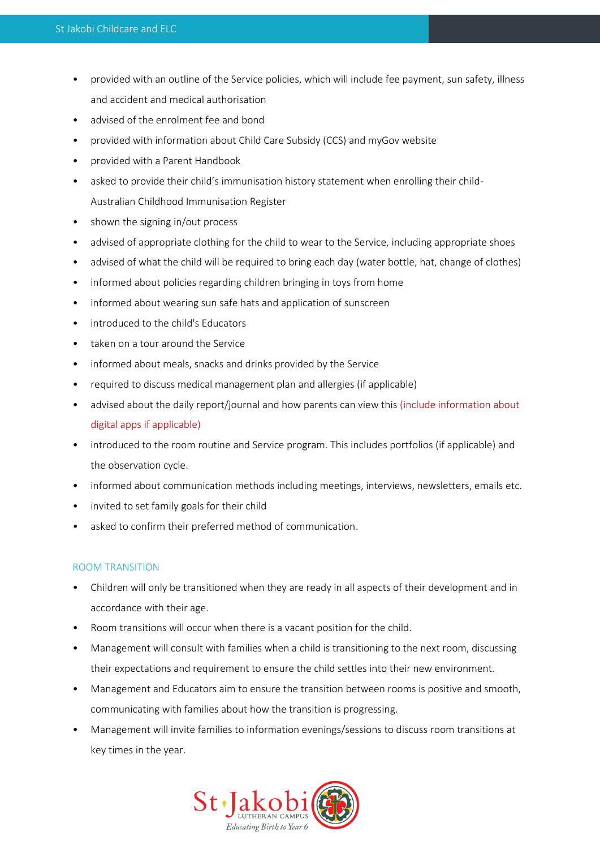- provided with an outline of the Service policies, which will include fee payment, sun safety, illness and accident and medical authorisation
- advised of the enrolment fee and bond
- provided with information about Child Care Subsidy (CCS) and myGov website
- provided with a Parent Handbook
- asked to provide their child's immunisation history statement when enrolling their child-Australian Childhood Immunisation Register
- shown the signing in/out process
- advised of appropriate clothing for the child to wear to the Service, including appropriate shoes
- advised of what the child will be required to bring each day (water bottle, hat, change of clothes)
- informed about policies regarding children bringing in toys from home
- informed about wearing sun safe hats and application of sunscreen
- introduced to the child's Educators
- taken on a tour around the Service
- informed about meals, snacks and drinks provided by the Service
- required to discuss medical management plan and allergies (if applicable)
- advised about the daily report/journal and how parents can view this (include information about digital apps if applicable)
- introduced to the room routine and Service program. This includes portfolios (if applicable) and the observation cycle.
- informed about communication methods including meetings, interviews, newsletters, emails etc.
- invited to set family goals for their child
- asked to confirm their preferred method of communication.

# ROOM TRANSITION

- Children will only be transitioned when they are ready in all aspects of their development and in accordance with their age.
- Room transitions will occur when there is a vacant position for the child.
- Management will consult with families when a child is transitioning to the next room, discussing their expectations and requirement to ensure the child settles into their new environment.
- Management and Educators aim to ensure the transition between rooms is positive and smooth, communicating with families about how the transition is progressing.
- Management will invite families to information evenings/sessions to discuss room transitions at key times in the year.

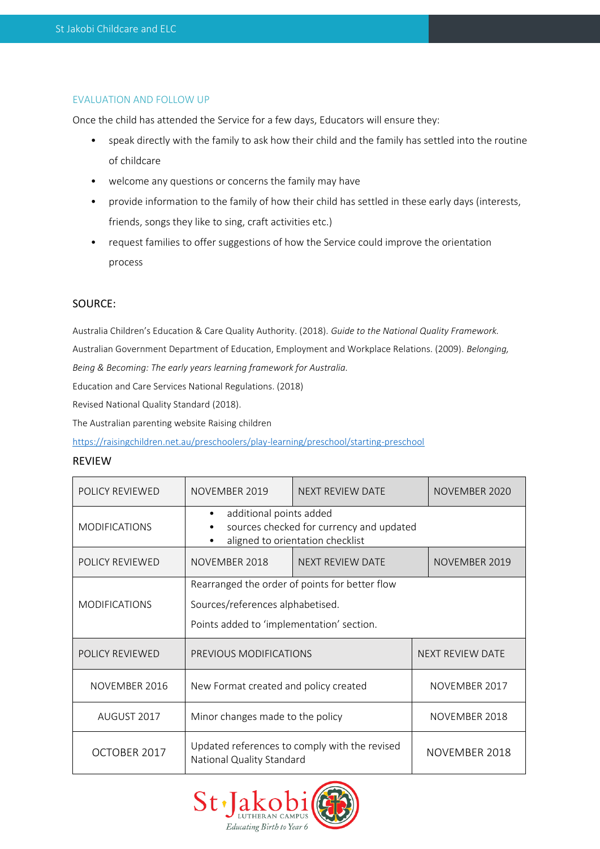# EVALUATION AND FOLLOW UP

Once the child has attended the Service for a few days, Educators will ensure they:

- speak directly with the family to ask how their child and the family has settled into the routine of childcare
- welcome any questions or concerns the family may have
- provide information to the family of how their child has settled in these early days (interests, friends, songs they like to sing, craft activities etc.)
- request families to offer suggestions of how the Service could improve the orientation process

# SOURCE:

Australia Children's Education & Care Quality Authority. (2018). *Guide to the National Quality Framework.*  Australian Government Department of Education, Employment and Workplace Relations. (2009). *Belonging, Being & Becoming: The early years learning framework for Australia.* 

Education and Care Services National Regulations. (2018)

Revised National Quality Standard (2018).

The Australian parenting website Raising children

<https://raisingchildren.net.au/preschoolers/play-learning/preschool/starting-preschool>

#### REVIEW

| POLICY REVIEWED                                                                                                                              | NOVEMBER 2019                                                                                                                   | <b>NEXT REVIEW DATE</b> | NOVEMBER 2020    |  |  |
|----------------------------------------------------------------------------------------------------------------------------------------------|---------------------------------------------------------------------------------------------------------------------------------|-------------------------|------------------|--|--|
| additional points added<br>sources checked for currency and updated<br><b>MODIFICATIONS</b><br>$\bullet$<br>aligned to orientation checklist |                                                                                                                                 |                         |                  |  |  |
| POLICY REVIEWED                                                                                                                              | NOVEMBER 2018                                                                                                                   | NEXT REVIEW DATE        | NOVEMBER 2019    |  |  |
| <b>MODIFICATIONS</b>                                                                                                                         | Rearranged the order of points for better flow<br>Sources/references alphabetised.<br>Points added to 'implementation' section. |                         |                  |  |  |
| POLICY REVIEWED                                                                                                                              | PREVIOUS MODIFICATIONS                                                                                                          |                         | NEXT REVIEW DATE |  |  |
| NOVEMBER 2016                                                                                                                                | New Format created and policy created                                                                                           |                         | NOVEMBER 2017    |  |  |
| AUGUST 2017                                                                                                                                  | Minor changes made to the policy                                                                                                |                         |                  |  |  |
| OCTOBER 2017                                                                                                                                 | Updated references to comply with the revised<br>National Quality Standard                                                      |                         | NOVEMBER 2018    |  |  |